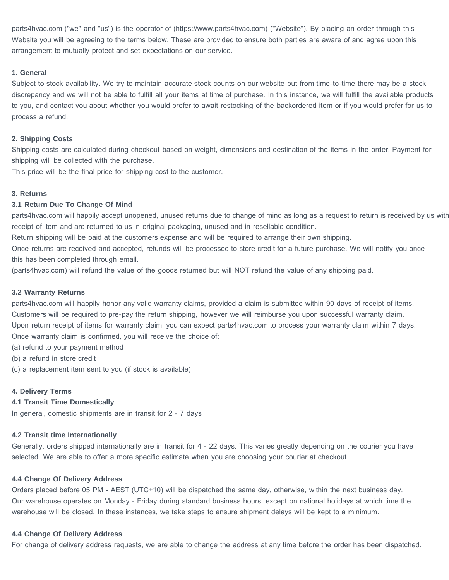parts4hvac.com ("we" and "us") is the operator of (https://www.parts4hvac.com) ("Website"). By placing an order through this Website you will be agreeing to the terms below. These are provided to ensure both parties are aware of and agree upon this arrangement to mutually protect and set expectations on our service.

## **1. General**

Subject to stock availability. We try to maintain accurate stock counts on our website but from time-to-time there may be a stock discrepancy and we will not be able to fulfill all your items at time of purchase. In this instance, we will fulfill the available products to you, and contact you about whether you would prefer to await restocking of the backordered item or if you would prefer for us to process a refund.

## **2. Shipping Costs**

Shipping costs are calculated during checkout based on weight, dimensions and destination of the items in the order. Payment for shipping will be collected with the purchase.

This price will be the final price for shipping cost to the customer.

## **3. Returns**

## **3.1 Return Due To Change Of Mind**

parts4hvac.com will happily accept unopened, unused returns due to change of mind as long as a request to return is received by us with receipt of item and are returned to us in original packaging, unused and in resellable condition.

Return shipping will be paid at the customers expense and will be required to arrange their own shipping.

Once returns are received and accepted, refunds will be processed to store credit for a future purchase. We will notify you once this has been completed through email.

(parts4hvac.com) will refund the value of the goods returned but will NOT refund the value of any shipping paid.

## **3.2 Warranty Returns**

parts4hvac.com will happily honor any valid warranty claims, provided a claim is submitted within 90 days of receipt of items. Customers will be required to pre-pay the return shipping, however we will reimburse you upon successful warranty claim. Upon return receipt of items for warranty claim, you can expect parts4hvac.com to process your warranty claim within 7 days. Once warranty claim is confirmed, you will receive the choice of:

(a) refund to your payment method

(b) a refund in store credit

(c) a replacement item sent to you (if stock is available)

## **4. Delivery Terms**

## **4.1 Transit Time Domestically**

In general, domestic shipments are in transit for 2 - 7 days

## **4.2 Transit time Internationally**

Generally, orders shipped internationally are in transit for 4 - 22 days. This varies greatly depending on the courier you have selected. We are able to offer a more specific estimate when you are choosing your courier at checkout.

## **4.4 Change Of Delivery Address**

Orders placed before 05 PM - AEST (UTC+10) will be dispatched the same day, otherwise, within the next business day. Our warehouse operates on Monday - Friday during standard business hours, except on national holidays at which time the warehouse will be closed. In these instances, we take steps to ensure shipment delays will be kept to a minimum.

## **4.4 Change Of Delivery Address**

For change of delivery address requests, we are able to change the address at any time before the order has been dispatched.